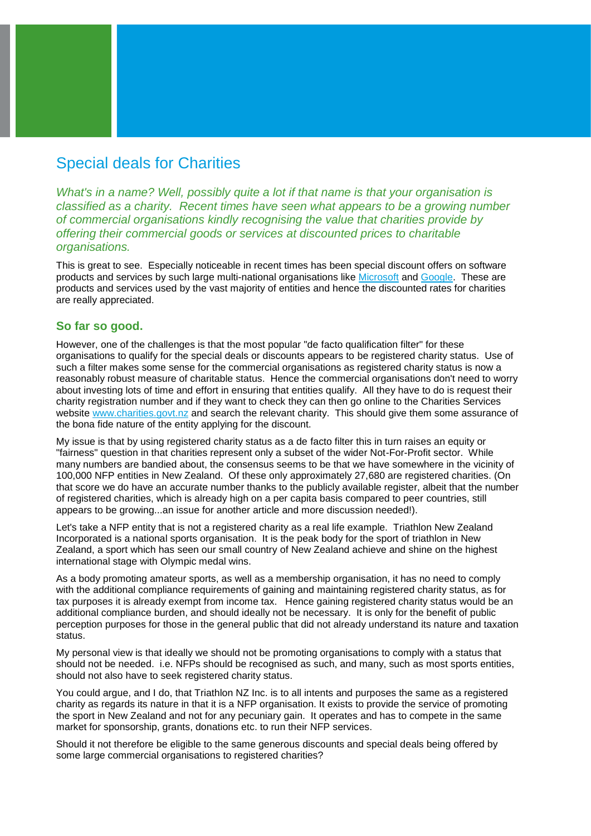## Special deals for Charities

*What's in a name? Well, possibly quite a lot if that name is that your organisation is classified as a charity. Recent times have seen what appears to be a growing number of commercial organisations kindly recognising the value that charities provide by offering their commercial goods or services at discounted prices to charitable organisations.* 

This is great to see. Especially noticeable in recent times has been special discount offers on software products and services by such large multi-national organisations like [Microsoft](https://www.microsoft.com/about/philanthropies/product-donations/eligibility/) and [Google.](https://www.google.com/nonprofits/) These are products and services used by the vast majority of entities and hence the discounted rates for charities are really appreciated.

## **So far so good.**

However, one of the challenges is that the most popular "de facto qualification filter" for these organisations to qualify for the special deals or discounts appears to be registered charity status. Use of such a filter makes some sense for the commercial organisations as registered charity status is now a reasonably robust measure of charitable status. Hence the commercial organisations don't need to worry about investing lots of time and effort in ensuring that entities qualify. All they have to do is request their charity registration number and if they want to check they can then go online to the Charities Services website [www.charities.govt.nz](http://www.charities.govt.nz/) and search the relevant charity. This should give them some assurance of the bona fide nature of the entity applying for the discount.

My issue is that by using registered charity status as a de facto filter this in turn raises an equity or "fairness" question in that charities represent only a subset of the wider Not-For-Profit sector. While many numbers are bandied about, the consensus seems to be that we have somewhere in the vicinity of 100,000 NFP entities in New Zealand. Of these only approximately 27,680 are registered charities. (On that score we do have an accurate number thanks to the publicly available register, albeit that the number of registered charities, which is already high on a per capita basis compared to peer countries, still appears to be growing...an issue for another article and more discussion needed!).

Let's take a NFP entity that is not a registered charity as a real life example. Triathlon New Zealand Incorporated is a national sports organisation. It is the peak body for the sport of triathlon in New Zealand, a sport which has seen our small country of New Zealand achieve and shine on the highest international stage with Olympic medal wins.

As a body promoting amateur sports, as well as a membership organisation, it has no need to comply with the additional compliance requirements of gaining and maintaining registered charity status, as for tax purposes it is already exempt from income tax. Hence gaining registered charity status would be an additional compliance burden, and should ideally not be necessary. It is only for the benefit of public perception purposes for those in the general public that did not already understand its nature and taxation status.

My personal view is that ideally we should not be promoting organisations to comply with a status that should not be needed. i.e. NFPs should be recognised as such, and many, such as most sports entities, should not also have to seek registered charity status.

You could argue, and I do, that Triathlon NZ Inc. is to all intents and purposes the same as a registered charity as regards its nature in that it is a NFP organisation. It exists to provide the service of promoting the sport in New Zealand and not for any pecuniary gain. It operates and has to compete in the same market for sponsorship, grants, donations etc. to run their NFP services.

Should it not therefore be eligible to the same generous discounts and special deals being offered by some large commercial organisations to registered charities?